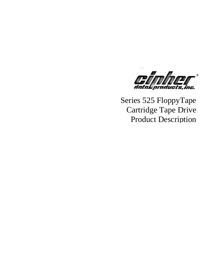

Series 525 FloppyTape Cartridge Tape Drive Product Description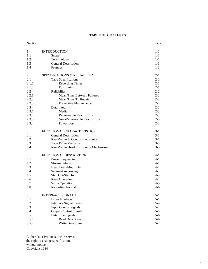### **TABLE OF CONTENTS**

| Section        |                                         | Page    |
|----------------|-----------------------------------------|---------|
| $\mathbf{1}$   | <b>INTRODUCTION</b>                     | $1-1$   |
| 1.1            | Scope                                   | $1 - 1$ |
| 1.2            | Terminology                             | $1 - 1$ |
| 1.3            | General Description                     | $1 - 3$ |
| 1.4            | Features                                | $1-3$   |
| $\overline{c}$ | <b>SPECIFICATIONS &amp; RELIABILITY</b> | $2 - 1$ |
| 2.1            | Tape Specifications                     | $2-1$   |
| 2.1.1          | <b>Recording Times</b>                  | $2 - 1$ |
| 2.1.2          | Positioning                             | $2 - 1$ |
| 2.2            | Reliability                             | $2 - 2$ |
| 2.2.1          | Mean Time Between Failures              | $2 - 2$ |
| 2.2.2          | Mean Time To Repair                     | $2 - 2$ |
| 2.2.3          | Preventive Maintenance                  | $2 - 2$ |
| 2.3            | Data Integrity                          | $2 - 3$ |
| 2.3.1          | Media                                   | $2 - 3$ |
| 2.3.2          | <b>Recoverable Read Errors</b>          | $2 - 3$ |
| 2.3.3          | Non-Recoverable Read Errors             | $2 - 3$ |
| 2.3.4          | Power Loss                              | $2 - 3$ |
| 3              | FUNCTIONAL CHARACTERISTICS              | $3-1$   |
| 3.1            | General Description                     | $3-1$   |
| 3.2            | Read/Write & Control Electronics        | $3-1$   |
| 3.3            | Tape Drive Mechanism                    | $3 - 3$ |
| 3.4            | Read/Write Head Positioning Mechanism   | $3-3$   |
| 4              | <b>FUNCTIONAL DESCRIPTION</b>           | $4 - 1$ |
| 4.1            | Power Sequencing                        | $4 - 1$ |
| 4.2            | <b>Stream Selection</b>                 | $4 - 1$ |
| 4.3            | Head Load/Motor On                      | $4 - 2$ |
| 4.4            | <b>Segment Accessing</b>                | $4 - 2$ |
| 4.5            | Step Out/Step In                        | $4 - 4$ |
| 4.6            | Read Operation                          | $4 - 4$ |
| 4.7            | Write Operation                         | $4 - 5$ |
| 4.8            | <b>Recording Format</b>                 | $4 - 6$ |
| 5              | <b>INTERFACE SIGNALS</b>                | $5-1$   |
| 5.1            | Drive Interface                         | $5 - 1$ |
| 5.2            | <b>Interface Signal Levels</b>          | $5-4$   |
| 5.3            | <b>Input Control Signals</b>            | $5-4$   |
| 5.4            | <b>Output Control Signals</b>           | $5 - 5$ |
| 5.5            | Data Line Signals                       | $5-6$   |
| 5.5.1          | Read Data Signal                        | $5-6$   |
| 5.5.2          | Write Data Signal                       | $5 - 7$ |

Cipher Data Products, Inc. reserves the right to change specifications without notice. Copyright 1984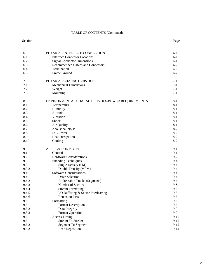### TABLE OF CONTENTS (Continued)

#### Section Page 2014 and the Section Page 2014 and the Section Page 2014 and the Section Page

| 6<br>6.1   | PHYSICAL INTERFACE CONNECTION<br><b>Interface Connector Locations</b>   | $6-1$<br>$6-1$   |
|------------|-------------------------------------------------------------------------|------------------|
| 6.2<br>6.3 | <b>Signal Connector Dimensions</b><br>Recommended Cables and Connectors | $6-1$<br>$6 - 2$ |
| 6.4        | Termination                                                             | $6 - 2$          |
| 6.5        | Frame Ground                                                            | $6 - 2$          |
|            |                                                                         |                  |
| 7          | PHYSICAL CHARACTERISTICS                                                | $7 - 1$          |
| 7.1        | <b>Mechanical Dimensions</b>                                            | $7-1$            |
| 7.2        | Weight                                                                  | $7-1$            |
| 7.3        | Mounting                                                                | $7-1$            |
| $\,8\,$    | ENVIRONMENTAL CHARACTERISTICS/POWER REQUIREM ENTS                       | $8 - 1$          |
| 8.1        | Temperature                                                             | $8 - 1$          |
| 8.2        | Humidity                                                                | $8-1$            |
| 8.3        | Altitude                                                                | $8 - 1$          |
| 8.4        | Vibration                                                               | $8 - 1$          |
| 8.5        | Shock                                                                   | $8 - 1$          |
| 8.6        | Air Quality                                                             | $8 - 1$          |
| 8.7        | <b>Acoustical Noise</b>                                                 | $8-2$            |
| 8.8        | D C Power                                                               | $8-2$            |
| 8.9        | <b>Heat Dissipation</b>                                                 | $8-2$            |
| 8.10       | Cooling                                                                 | $8-2$            |
| 9          | <b>APPLICATION NOTES</b>                                                | $9-1$            |
| 9.1        | General                                                                 | $9-1$            |
| 9.2        | <b>Hardware Considerations</b>                                          | $9 - 2$          |
| 9.3        | <b>Encoding Techniques</b>                                              | $9-4$            |
| 9.3.1      | Single Density (FM)                                                     | $9-4$            |
| 9.3.2      | Double Density (MFM)                                                    | $9-4$            |
| 9.4        | <b>Software Considerations</b>                                          | $9-4$            |
| 9.4.1      | Drive Selection                                                         | $9-4$            |
| 9.4.2      | Addressable Tracks (Segments)                                           | $9-4$            |
| 9.4.3      | Number of Sectors                                                       | $9-S$            |
| 9.4.4      | <b>Stream Formatting</b>                                                | $9 - 5$          |
| 9.4.5      | I/O Buffering & Sector Interleaving                                     | $9 - 5$          |
| 9.4.6      | <b>Retension Pass</b>                                                   | $9 - 6$          |
| 9.5        | Formatting                                                              | $9 - 6$          |
| 9.5.1      | <b>Format Description</b>                                               | $9 - 6$          |
| 9.5.2      | Data Integrity                                                          | $9-9$            |
| 9.5.3      | <b>Format Operation</b>                                                 | $9-9$            |
| 9.6        | <b>Access Timing</b>                                                    | $9 - 12$         |
| 9.6.1      | <b>Stream To Stream</b>                                                 | $9 - 12$         |
| 9.6.2      | <b>Segment To Segment</b>                                               | $9 - 12$         |
| 9.6.3      | Read Reposition                                                         | $9 - 14$         |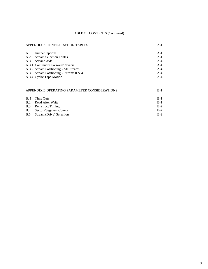# TABLE OF CONTENTS (Continued)

| APPENDIX A CONFIGURATION TABLES                                | $A-1$          |
|----------------------------------------------------------------|----------------|
| Jumper Options<br>A.1<br><b>Stream Selection Tables</b><br>A.2 | $A-1$<br>$A-1$ |
| A.3<br>Service Aids                                            | $A-4$          |
| A.3.1 Continuous Forward/Reverse                               | $A-4$          |
| A.3.2 Stream Positioning - All Streams                         | $A-4$          |
| A.3.3 Stream Positioning - Streams $0 \& 4$                    | $A-4$          |
| A.3.4 Cyclic Tape Motion                                       | $A-4$          |
|                                                                |                |
| APPENDIX B OPERATING PARAMETER CONSIDERATIONS                  | $B-1$          |
|                                                                |                |

| B. 1 Time Outs                      | $B-1$ |
|-------------------------------------|-------|
| B.2 Read After Write                | $B-1$ |
| <b>B.3</b> Reinstruct Timing        | $B-2$ |
| <b>B.4</b> Sectors/Segment Counts   | $B-2$ |
| <b>B.5</b> Stream (Drive) Selection | $B-2$ |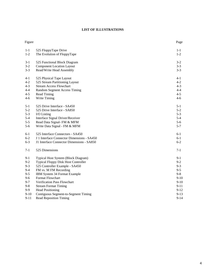# **LIST OF ILLUSTRATIONS**

| Figure   |                                            | Page     |
|----------|--------------------------------------------|----------|
| $1 - 1$  | 525 FloppyTape Drive                       | $1 - 1$  |
| $1 - 2$  | The Evolution of FloppyTape                | $1-2$    |
| $3-1$    | 525 Functional Block Diagram               | $3 - 2$  |
| $3-2$    | <b>Component Location Layout</b>           | $3 - 3$  |
| $3 - 3$  | Read/Write Head Assembly                   | $3 - 3$  |
| 4-1      | 525 Physical Tape Layout                   | 4-1      |
| $4 - 2$  | 525 Stream Partitioning Layout             | $4 - 2$  |
| $4 - 3$  | <b>Stream Access Flowchart</b>             | $4 - 3$  |
| $4 - 4$  | Random Segment Access Timing               | $4 - 4$  |
| $4 - 5$  | Read Timing                                | $4 - 5$  |
| 4-6      | Write Timing                               | $4 - 6$  |
| $5-1$    | 525 Drive Interface - SA450                | $5-1$    |
| $5 - 2$  | 525 Drive Interface - SA850                | $5 - 2$  |
| $5 - 3$  | I/O Listing                                | $5 - 3$  |
| $5 - 4$  | Interface Signal Driver/Receiver           | $5 - 4$  |
| $5 - 5$  | Read Data Signal- FM & MFM                 | $5-6$    |
| 5-6      | Write Data Signal - FM & MFM               | $5 - 7$  |
| $6 - 1$  | 525 Interface Connectors - SA450           | $6-1$    |
| $6 - 2$  | J 1 Interface Connector Dimensions - SA450 | $6-1$    |
| $6 - 3$  | J1 Interface Connector Dimensions - SA850  | $6 - 2$  |
| $7 - 1$  | 525 Dimensions                             | $7 - 1$  |
| $9-1$    | Typical Host System (Block Diagram)        | 9-1      |
| $9 - 2$  | Typical Floppy Disk Host Controller        | $9 - 2$  |
| $9 - 3$  | 525 Controller Example - SA450             | $9 - 3$  |
| $9 - 4$  | FM vs. M FM Recording                      | $9 - 5$  |
| $9 - 5$  | IBM System 34 Format Example               | $9 - 8$  |
| $9 - 6$  | Format Flowchart                           | $9 - 10$ |
| $9 - 7$  | Verification Pass Flowchart                | $9-10$   |
| $9 - 8$  | <b>Stream Format Timing</b>                | $9 - 11$ |
| $9-9$    | <b>Head Positioning</b>                    | $9 - 12$ |
| $9 - 10$ | Contiguous Segment-to-Segment Timing       | $9 - 13$ |
| $9 - 11$ | <b>Read Reposition Timing</b>              | $9 - 14$ |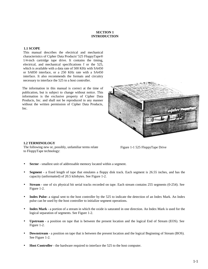### **SECTION 1 INTRODUCTION**

### **1.1 SCOPE**

This manual describes the electrical and mechanical characteristics of Cipher Data Products' 525 FloppyTape® 1/4-inch cartridge tape drive. It contains the timing, electrical, and mechanical specifications f or the 525, which is available with a data rate of 500 KHz with SA450 or SA850 interface, or a 250 KHz rate with a SA450 interface. It also recommends the formats and circuitry necessary to interface the 525 to a host controller.

The information in this manual is correct at the time of publication, but is subject to change without notice. This information is the exclusive property of Cipher Data Products, Inc. and shall not be reproduced in any manner without the written permission of Cipher Data Products, Inc.



#### **1.2 TERMINOLOGY**

The following new or, possibly, unfamiliar terms relate to FloppyTape technology:

Figure 1-1 525 FloppyTape Drive

- **Sector** smallest unit of addressable memory located within a segment.
- **Segment** a fixed length of tape that emulates a floppy disk track. Each segment is 26.55 inches, and has the capacity (unformatted) of 20.5 kilobytes. See Figure 1-2.
- **Stream**  one of six physical bit serial tracks recorded on tape. Each stream contains 255 segments (0-254). See Figure 1-2.
- **Index Pulse-** a signal sent to the host controller by the 525 to indicate the detection of an Index Mark. An Index pulse can be used by the host controller to initialize segment operations.
- **Index Mark** a portion of a stream in which the oxide is saturated in one direction. An Index Mark is used for the logical separation of segments. See Figure 1-2.
- **Upstream**  a position on tape that is between the present location and the logical End of Stream (EOS). See Figure 1-2.
- **Downstream**  a position on tape that is between the present location and the logical Beginning of Stream (BOS). See Figure 1-2.
- **Host Controller** the hardware required to interface the 525 to the host computer.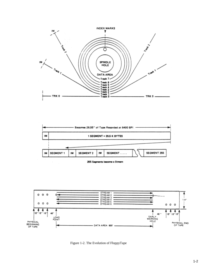







Figure 1-2. The Evolution of FloppyTape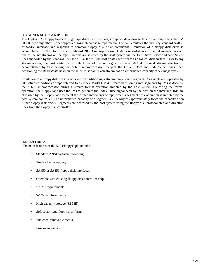#### **1.3 GENERAL DESCRIPTION**

The Cipher 525 FloppyTape cartridge tape drive is a low cost, computer data storage tape drive, employing the 3M DC600A or any other Cipher approved 1/4-inch cartridge tape media. The 525 emulates the industry standard SA850 or SA450 interface and responds to common floppy disk drive commands. Emulation of a floppy disk drive is accomplished by the FloppyTape's on-board Z8603 microprocessor. Data is recorded in a bit serial manner on each one of the six streams on the tape. Streams are selected by the host system via the four Drive Select and Side Select lines supported by the standard SA850 or SA450 bus. The host treats each stream as a logical disk surface. Prior to any stream access, the host system must select one of the six logical surfaces. Actual physical stream selection is accomplished by first having the Z8603 microprocessor interpret the Drive Select and Side Select lines, then positioning the Read/Write head on the selected stream. Each stream has an unformatted capacity of 5.2 megabytes.

Emulation of a floppy disk track is achieved by partitioning a stream into 26-inch segments. Segments are separated by DC saturated portions of tape referred to as Index Marks (IMs). Stream partitioning into segments by IMs is done by the Z8603 microprocessor during a stream format operation initiated by the host system. Following the format operation, the FloppyTape uses the IMs to generate the Index Pulse signal seen by the host on the interface. IMs are also used by the FloppyTape to count the 26inch increments of tape, when a segment seek operation is initiated by the host system controller. The unformatted capacity of a segment is 20.5 Kbytes (approximately twice the capacity of an 8-inch floppy disk track). Segments are accessed by the host system using the floppy disk protocol step and direction lines from the floppy disk controller.

#### **1.4 FEATURES**

The main features of the 525 FloppyTape include:

- Standard ANSI cartridge mounting
- Precise head stepping
- SA450 or SA850 floppy disk interfaces
- Operable with existing floppy disk controller chips
- No AC requirements
- 5-1/4-inch form factor
- High capacity storage (32 MB)
- Soft sector type floppy disk format
- Enclosed/removable media
- Low maintenance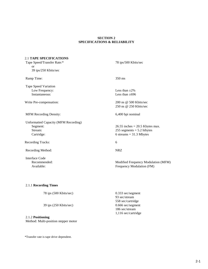### **SECTION 2 SPECIFICATIONS & RELIABILITY**

#### 2.1 **TAPE SPECIFICATIONS**

Tape Speed/Transfer Rate:\* 78 ips/500 Kbits/sec or 39 ips/250 Kbits/sec Ramp Time: 350 ms Tape Speed Variation Low Frequency: Less than  $\pm 2\%$ Instantaneous: Less than  $\pm 696$ Write Pre-compensation: 200 ns @ 500 Kbits/sec 250 ns @ 250 Kbits/sec MFM Recording Density: 6,400 bpi nominal Unformatted Capacity (MFM Recording) Segment: 26.55 inches = 20.5 Kbytes max. Stream: 255 segments = 5.2 hibytes Cartridge: 6 streams = 31.3 Mbytes Recording Tracks: 6 Recording Method: NRZ Interface Code Recommended: Modified Frequency Modulation (MFM)<br>Available: Frequency Modulation (FM) Frequency Modulation (FM)

### 2.1.1 **Recording Times**

| $78$ ips $(500$ Kbits/sec) | $0.333$ sec/segment |
|----------------------------|---------------------|
|                            | 93 sec/stream       |
|                            | 558 sec/cartridge   |
| $39$ ips $(250$ Kbits/sec) | $0.666$ sec/segment |
|                            | 186 sec/stream      |

1,116 sec/cartridge

#### 2.1.2 **Positioning**

Method: Multi-position stepper motor

\*Transfer rate is tape drive dependent.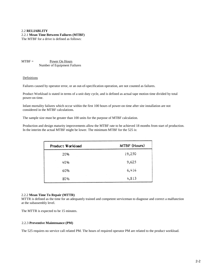# 2.2 **RELIABLITY** 2.2.1 **Mean Time Between Failures (MTBF)**

The MTBF for a drive is defined as follows:

 $MTBF =$  Power On Hours Number of Equipment Failures

### Definitions

Failures caused by operator error, or an out-of-specification operation, are not counted as failures.

Product Workload is stated in terms of a unit duty cycle, and is defined as actual tape motion time divided by total power-on time.

Infant mortality failures which occur within the first 100 hours of power-on time after site installation are not considered in the MTBF calculations.

The sample size must be greater than 100 units for the purpose of MTBF calculation.

Production and design maturity improvements allow the MTBF rate to be achieved 18 months from start of production. In the interim the actual MTBF might be lower. The minimum MTBF for the 525 is:

| Product Workload | MTBF (Hours) |
|------------------|--------------|
| 20%              | 19,250       |
| 40%              | 9,625        |
| 60%              | 6,416        |
| 80%              | 4,813        |

### 2.2.2 **Mean Time To Repair (MTTR)**

MTTR is defined as the time for an adequately trained and competent serviceman to diagnose and correct a malfunction at the subassembly level.

The MTTR is expected to be 15 minutes.

### 2.2.3 **Preventive Maintenance (PM)**

The 525 requires no service call related PM. The hours of required operator PM are related to the product workload.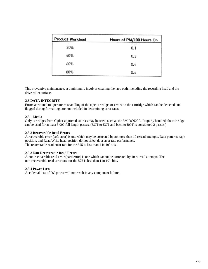| Product Workload | Hours of PM/100 Hours On |
|------------------|--------------------------|
| 20%              | 0.1                      |
| 40%              | 0.3                      |
| 60%              | 0.4                      |
| 80%              | 0.4                      |

This preventive maintenance, at a minimum, involves cleaning the tape path, including the recording head and the drive roller surface.

# 2.3 **DATA INTEGRITY**

Errors attributed to operator mishandling of the tape cartridge, or errors on the cartridge which can be detected and flagged during formatting, are not included in determining error rates.

### 2.3.1 **Media**

Only cartridges from Cipher approved sources may be used, such as the 3M DC600A. Properly handled, the cartridge can be used for at least 5,000 full length passes. (BOT to EOT and back to BOT is considered 2 passes.)

### 2.3.2 **Recoverable Read Errors**

A recoverable error (soft error) is one which may be corrected by no more than 10 reread attempts. Data patterns, tape position, and Read/Write head position do not affect data error rate performance. The recoverable read error rate for the 525 is less than 1 in  $10^9$  bits.

### 2.3.3 **Non-Recoverable Read Errors**

A non-recoverable read error (hard error) is one which cannot be corrected by 10 re-read attempts. The non-recoverable read error rate for the 525 is less than 1 in  $10^{11}$  bits.

### 2.3.4 **Power Loss**

Accidental loss of DC power will not result in any component failure.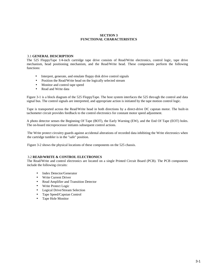### **SECTION 3 FUNCTIONAL CHARACTERISTICS**

### 3.1 **GENERAL DESCRIPTION**

The 525 FloppyTape 1/4-inch cartridge tape drive consists of Read/Write electronics, control logic, tape drive mechanism, head positioning mechanism, and the Read/Write head. These components perform the following functions:

- Interpret, generate, and emulate floppy disk drive control signals
- Position the Read/Write head on the logically selected stream
- Monitor and control tape speed
- Read and Write data

Figure 3-1 is a block diagram of the 525 FloppyTape. The host system interfaces the 525 through the control and data signal bus. The control signals are interpreted, and appropriate action is initiated by the tape motion control logic.

Tape is transported across the Read/Write head in both directions by a direct-drive DC capstan motor. The built-in tachometer circuit provides feedback to the control electronics for constant motor speed adjustment.

A photo detector senses the Beginning Of Tape (BOT), the Early Warning (EW), and the End Of Tape (EOT) holes. The on-board microprocessor initiates subsequent control actions.

The Write protect circuitry guards against accidental alterations of recorded data inhibiting the Write electronics when the cartridge tumbler is in the "safe" position.

Figure 3-2 shows the physical locations of these components on the 525 chassis.

### 3.2 **READ/WRITE & CONTROL ELECTRONICS**

The Read/Write and control electronics are located on a single Printed Circuit Board (PCB). The PCB components include the following circuits:

- Index Detector/Generator
- Write Current Driver
- Read Amplifier and Transition Detector
- Write Protect Logic
- Logical Drive/Stream Selection
- Tape Speed/Capstan Control
- Tape Hole Monitor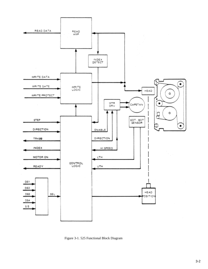

Figure 3-1. 525 Functional Block Diagram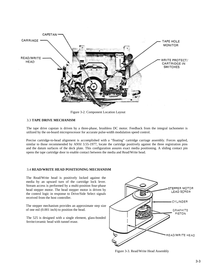

Figure 3-2. Component Location Layout

### 3.3 **TAPE DRIVE MECHANISM**

The tape drive capstan is driven by a three-phase, brushless DC motor. Feedback from the integral tachometer is utilized by the on-board microprocessor for accurate pulse-width modulation speed control.

Precise cartridge-to-head alignment is accomplished with a "floating" cartridge carriage assembly. Forces applied, similar to those recommended by ANSI 3.55-1977, locate the cartridge positively against the three registration pins and the datum surfaces of the deck plate. This configuration assures exact media positioning. A sliding contact pin opens the tape cartridge door to enable contact between the media and Read/Write head.

### 3.4 **READ/WRITE HEAD POSITIONING MECHANISM**

The Read/Write head is positively locked against the media by an upward turn of the cartridge lock lever. Stream access is performed by a multi-position four-phase head stepper motor. The head stepper motor is driven by the control logic in response to Drive/Side Select signals received from the host controller.

The stepper mechanism provides an approximate step size of one mil (0.001 inch) to position the head.

The 525 is designed with a single element, glass-bonded ferrite/ceramic head with tunnel erase.



Figure 3-3. Read/Write Head Assembly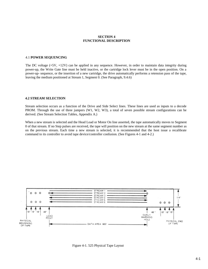#### **SECTlON 4 FUNCTIONAL DESCRIPTION**

#### 4.1 **POWER SEQUENCING**

The DC voltage (+5V, +12V) can be applied in any sequence. However, in order to maintain data integrity during power-up, the Write Gate line must be held inactive, or the cartridge lock lever must be in the open position. On a power-up- sequence, or the insertion of a new cartridge, the drive automatically performs a retension pass of the tape, leaving the medium positioned at Stream 1, Segment 0. (See Paragraph, 9.4.6)

#### **4.2 STREAM SELECTION**

Stream selection occurs as a function of the Drive and Side Select lines. These lines are used as inputs to a decode PROM. Through the use of three jumpers (W1, W2, W3), a total of seven possible stream configurations can be derived. (See Stream Selection Tables, Appendix A.)

When a new stream is selected and the Head Load or Motor On line asserted, the tape automatically moves to Segment 0 of that stream. If no Step pulses are received, the tape will position on the new stream at the same segment number as on the previous stream. Each time a new stream is selected, it is recommended that the host issue a recalibrate command to its controller to avoid tape device/controller confusion. (See Figures 4-1 and 4-2.)



Figure 4-1. 525 Physical Tape Layout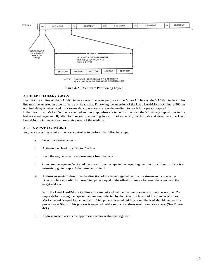

Figure 4-2. 525 Stream Partitioning Layout

### 4.3 **HEAD LOAD/MOTOR ON**

The Head Load line on the SA850 interface serves the same purpose as the Motor On line on the SA450 interface. This line must be asserted in order to Write or Read data. Following the assertion of the Head Load/Motor On line, a 400 ms nominal delay is introduced prior to any data operation to allow the medium to reach full operating speed. If the Head Load/Motor On line is asserted and no Step pulses are issued by the host, the 525 always repositions to the

last accessed segment. If, after four seconds, accessing has still not occurred, the host should deactivate the Head Load/Motor On line to avoid excessive wear of the medium.

### 4.4 **SEGMENT ACCESSING**

Segment accessing requires the host controller to perform the following steps:

- a. Select the desired stream
- b. Activate the Head Load/Motor On line
- c. Read the segment/sector address mark from the tape
- d. Compare the segment/sector address read from the tape to the target segment/sector address. If there is a mismatch, go to Step e. Otherwise go to Step f.
- e. Address mismatch: determine the direction of the target segment within the stream and activate the Direction line accordingly. Issue Step pulses equal to the offset difference between the actual and the target address.

With the Head Load/Motor On line still asserted and with an incoming stream of Step pulses, the 525 responds by moving the tape in the direction selected by the Direction line until the number of Index Marks passed is equal to the number of Step pulses received. At this point, the host should reenter this procedure at Step c. This process is repeated until a segment address mark compare occurs. (See Figure 4-3.)

f. Address match: access the appropriate sector within the segment.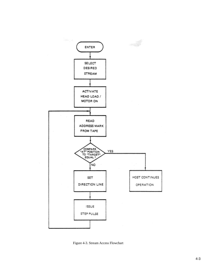

Figure 4-3. Stream Access Flowchart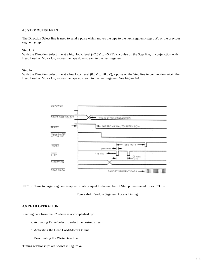#### 4 5 **STEP OUT/STEP IN**

The Direction Select line is used to send a pulse which moves the tape to the next segment (step out), or the previous segment (step in).

#### Step Out

With the Direction Select line at a high logic level (+2.5V to +5.25V), a pulse on the Step line, in conjunction with Head Load or Motor On, moves the tape downstream to the next segment.

#### Step In

With the Direction Select line at a low logic level (0.0V to +0.8V), a pulse on the Step line in conjunction wit-in the Head Load or Motor On, moves the tape upstream to the next segment. See Figure 4-4.



NOTE: Time to target segment is approximately equal to the number of Step pulses issued times 333 ms.

Figure 4-4. Random Segment Access Timing

#### 4.6 **READ OPERATION**

Reading data from the 525 drive is accomplished by:

- a. Activating Drive Select to select the desired stream
- b. Activating the Head Load/Motor On line
- c. Deactivating the Write Gate line

Timing relationships are shown in Figure 4-5.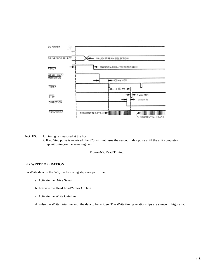

NOTES: 1. Timing is measured at the host.

2. If no Step pulse is received, the 525 will not issue the second Index pulse until the unit completes repositioning on the same segment.

Figure 4-5. Read Timing

#### 4.7 **WRITE OPERATION**

To Write data on the 525, the following steps are performed:

- a. Activate the Drive Select
- b. Activate the Head Load/Motor On line
- c. Activate the Write Gate line
- d. Pulse the Write Data line with the data to be written. The Write timing relationships are shown in Figure 4-6.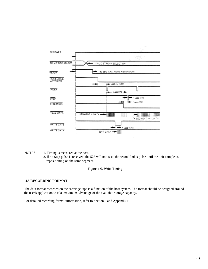

- NOTES: 1. Timing is measured at the host.
	- 2. If no Step pulse is received, the 525 will not issue the second Index pulse until the unit completes repositioning on the same segment.

Figure 4-6. Write Timing

### 4.8 **RECORDING FORMAT**

The data format recorded on the cartridge tape is a function of the host system. The format should be designed around the user's application to take maximum advantage of the available storage capacity.

For detailed recording format information, refer to Section 9 and Appendix B.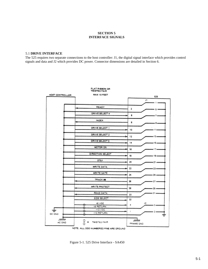### **SECTION 5 INTERFACE SIGNALS**

### 5.1 **DRIVE INTERFACE**

The 525 requires two separate connections to the host controller: J1, the digital signal interface which provides control signals and data and J2 which provides DC power. Connector dimensions are detailed in Section 6.



Figure 5-1. 525 Drive Interface - SA450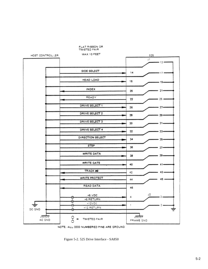

Figure 5-2. 525 Drive Interface - SA850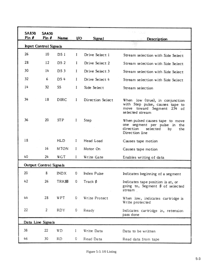| SA850 | SA450                  |                 |      |                  | ta Tücc                                                                                                                 |
|-------|------------------------|-----------------|------|------------------|-------------------------------------------------------------------------------------------------------------------------|
| Pin # | Pin #                  | Name            | IJO. | Signal           | Description                                                                                                             |
|       | Input Control Signals  |                 |      |                  |                                                                                                                         |
| 26    | 10                     | DS 1            | I    | Drive Select 1   | Stream selection with Side Select                                                                                       |
| 28    | 12                     | DS 2            | I    | Drive Select 2   | Stream selection with Side Select                                                                                       |
| 30    | 14                     | DS <sub>3</sub> | I    | Drive Select 3   | Stream selection with Side Select                                                                                       |
| 32    | 6                      | DS 4            | I    | Drive Select 4   | Stream selection with Side Select                                                                                       |
| 14    | 32                     | SS              | Ι    | Side Select      | Stream selection                                                                                                        |
| 34    | 18                     | <b>DIRC</b>     | I    | Direction Select | When low (true), in conjunction<br>with Step pulse, causes tape to<br>move toward Segment 254 of<br>selected stream     |
| 36    | 20                     | STP             | I    | Step             | When pulsed causes tape to move<br>one segment per pulse in the<br>direction<br>selected<br>by<br>the<br>Direction line |
| 18    |                        | HLD             | I    | Head Load        | Causes tape motion                                                                                                      |
|       | 16                     | MTON            | I    | Motor On         | Causes tape motion                                                                                                      |
| 40    | 24                     | WGT             | I    | Write Gate       | Enables writing of data                                                                                                 |
|       | Output Control Signals |                 |      |                  |                                                                                                                         |
| 20    | 8                      | INDX            | 0    | Index Pulse      | Indicates beginning of a segment                                                                                        |
| 42    | 26                     | TRKØ            | 0    | Track Ø          | Indicates tape position is at, or<br>going to, Segment Ø of selected<br>stream                                          |
| 44    | 28                     | WPT             | 0    | Write Protect    | When low, indicates cartridge is<br>Write protected                                                                     |
| 22    | 2                      | RDY             | 0    | Ready            | Indicates cartridge in, retension<br>pass done                                                                          |
|       | Data Line Signals      |                 |      |                  |                                                                                                                         |
| 38    | 22                     | WD              | ı    | Write Data       | Data to be written                                                                                                      |
| 46    | 30                     | RD              | 0    | Read Data        | Read data from tape                                                                                                     |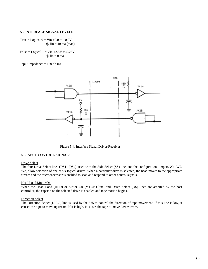### 5.2 **INTERFACE SIGNAL LEVELS**

True = Logical  $0 = \text{Vir } \pm 0.0$  to  $+0.8\text{V}$  $\omega$  Iin = 40 ma (max)

False = Logical  $1 = \text{Vir} +2.5\text{ V}$  to 5.25V  $\omega$  Iin = 0 ma

Input Impedance  $= 150$  oh ms



Figure 5-4. Interface Signal Driver/Receiver

#### 5.3 **INPUT CONTROL SIGNALS**

#### Drive Select

The four Drive Select lines (DS1 - DS4), used with the Side Select (SS) line, and the configuration jumpers W1, W2, W3, allow selection of one of six logical drives. When a particular drive is selected, the head moves to the appropriate stream and the microprocessor is enabled to scan and respond to other control signals.

#### Head Load/Motor On

When the Head Load (HLD) or Motor On (MTON) line, and Drive Select (DS) lines are asserted by the host controller, the capstan on the selected drive is enabled and tape motion begins.

#### Direction Select

The Direction Select (DIRC) line is used by the 525 to control the direction of tape movement. If this line is low, it causes the tape to move upstream. If it is high, it causes the tape to move downstream.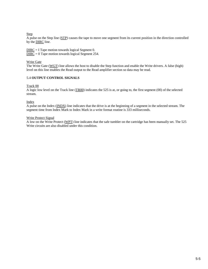### Step

A pulse on the Step line (STP) causes the tape to move one segment from its current position in the direction controlled by the DIRC line.

 $DIRC = I$  Tape motion towards logical Segment 0.

DIRC = 0 Tape motion towards logical Segment 254.

### Write Gate

The Write Gate (WGT) line allows the host to disable the Step function and enable the Write drivers. A false (high) level on this line enables the Read output to the Read amplifier section so data may be read.

### 5.4 **OUTPUT CONTROL SIGNALS**

### Track 00

A logic low level on the Track line (TR00) indicates the 525 is at, or going to, the first segment (00) of the selected stream.

Index

A pulse on the Index (INDX) line indicates that the drive is at the beginning of a segment in the selected stream. The segment time from Index Mark to Index Mark in a write format routine is 333 milliseconds.

### Write Protect Signal

A low on the Write Protect (WPT) line indicates that the safe tumbler on the cartridge has been manually set. The 525 Write circuits are also disabled under this condition.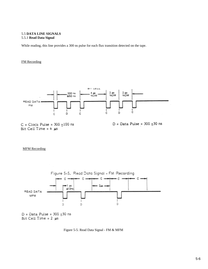### 5.5 **DATA LINE SIGNALS** 5.5.1 **Read Data Signal**

While reading, this line provides a 300 ns pulse for each flux transition detected on the tape.

### FM Recording



### MFM Recording



Figure 5-5. Read Data Signal - FM & MFM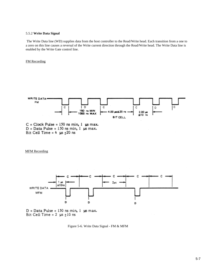### 5.5.2 **Write Data Signal**

 The Write Data line (WD) supplies data from the host controller to the Read/Write head. Each transition from a one to a zero on this line causes a reversal of the Write current direction through the Read/Write head. The Write Data line is enabled by the Write Gate control line.

### FM Recording



 $D = Data$  Pulse = 150 ns min, 1 us max. Bit Cell Time =  $4 \text{ }\mu\text{s}$  + 20 ns

MFM Recording



 $D = Data$  Pulse = 150 ns min, 1 us max. Bit Cell Time =  $2 \mu s \pm 10$  ns

Figure 5-6. Write Data Signal - FM & MFM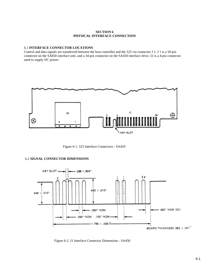### **SECTION 6 PHYSICAL INTERFACE CONNECTION**

### 6.1 **INTERFACE CONNECTOR LOCATIONS**

Control and data signals are transferred between the host controller and the 525 via connector J 1. J 1 is a 50-pin connector on the SA850 interface unit, and a 34-pin connector on the SA450 interface drive. J2 is a 4-pin connector used to supply DC power.



Figure 6-1. 525 Interface Connectors - SA450

### 6.2 **SIGNAL CONNECTOR DIMENSIONS**



Figure 6-2. J1 Interface Connector Dimensions - SA450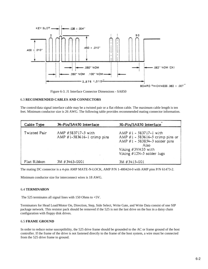

Figure 6-3. J1 Interface Connector Dimensions - SA850

### 6.3 **RECOMMENDED CABLES AND CONNECTORS**

The control/data signal interface cable may be a twisted pair or a flat ribbon cable. The maximum cable length is ten feet. Minimum conductor size is 26 AWG. The following table provides recommended mating connector information.

| Cable Type   | 34-Pin/SA450 Interface                           | 50-Pin/SA850 Interface                                                                                                                                    |
|--------------|--------------------------------------------------|-----------------------------------------------------------------------------------------------------------------------------------------------------------|
| Twisted Pair | AMP #583717-5 with<br>AMP #1-583616-1 crimp pins | AMP #1 - 583717-1 with<br>AMP $#1 - 583616 - 5$ crimp pins or<br>AMP #1 - 583854-3 solder pins<br>Also<br>Viking #3VH35 with<br>Viking #1JN-5 solder lugs |
| Flat Ribbon  | 3M #3463-0001                                    | 3M #3415-001                                                                                                                                              |

The mating DC connector is a 4-pin AMP MATE-N-LOCK, AMP P/N 1-480424-0 with AMP pins P/N 61473-2.

Minimum conductor size for interconnect wires is 18 AWG.

#### 6.4 **TERMINAllON**

The 525 terminates all signal lines with 150 Ohms to +5V.

Terminators for Head Load/Motor On, Direction, Step, Side Select, Write Gate, and Write Data consist of one SIP package network. This resistor pack should be removed if the 525 is not the last drive on the bus in a daisy chain configuration with floppy disk drives.

### 6.5 **FRAME GROUND**

In order to reduce noise susceptibility, the 525 drive frame should be grounded to the AC or frame ground of the host controller. If the frame of the drive is not fastened directly to the frame of the host system, a wire must be connected from the 525 drive frame to ground.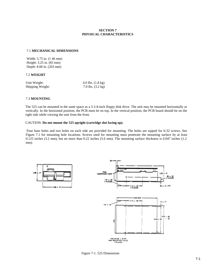### **SECTION 7 PHYSICAL CHARACTERISTICS**

### 7.1 **MECHANICAL DIMENSIONS**

Width: 5.75 in. (1 46 mm) Height: 3.25 in. (83 mm) Depth: 8.00 in. (203 mm)

### 7.2 **WEIGHT**

| Unit Weight:     | 4.0 lbs. $(1.8 \text{ kg})$ |
|------------------|-----------------------------|
| Shipping Weight: | 7.0 lbs. $(3.2 \text{ kg})$ |

### 7.3 **MOUNTING**

The 525 can be mounted in the same space as a 5-1/4-inch floppy disk drive. The unit may be mounted horizontally or vertically. In the horizontal position, the PCB must be on top. In the vertical position, the PCB board should be on the right side while viewing the unit from the front.

#### CAUTION: **Do not mount the 525 upright (cartridge slot facing up).**

 Four base holes and two holes on each side are provided for mounting. The holes are tapped for 6-32 screws. See Figure 7.1 for mounting hole locations. Screws used for mounting must penetrate the mounting surface by at least 0.125 inches (3.2 mm), but no more than 0.22 inches (5.6 mm). The mounting surface thickness is 0.047 inches (1.2 mm).





Figure 7-1. 525 Dimensions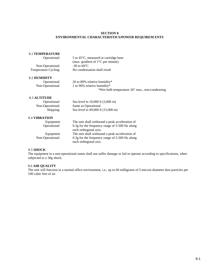### **SECTION 8 ENVIRONMENTAL CHARACTERISTICS/POWER REQUIREM ENTS**

#### 8.1 **TEMPERATURE**

| Operational:         | 5 to 45 <sup>o</sup> C, measured at cartridge base      |
|----------------------|---------------------------------------------------------|
|                      | (max. gradient of $1^{\circ}$ C per minute)             |
| Non-Operational:     | $-30$ to 60 $\mathrm{^{\circ}C}$                        |
| Temperature Cycling: | No condensation shall result                            |
| <b>8.2 HUMIDITY</b>  |                                                         |
| Operational:         | 20 to 80% relative humidity*                            |
| Non-Operational:     | 1 to 90% relative humidity*                             |
|                      | *Wet bulb temperature $26^{\circ}$ max., non-condensing |
| <b>8.3 ALTITUDE</b>  |                                                         |
| Operational:         | Sea level to 10,000 ft (3,000 m)                        |
| Non-Operational:     | Same as Operational                                     |
|                      |                                                         |

# 8.4 **VIBRATION**

| Equipment        | The unit shall withstand a peak acceleration of |
|------------------|-------------------------------------------------|
| Operational:     | 0.3g for the frequency range of 5-500 Hz along  |
|                  | each orthogonal axis.                           |
| Equipment        | The unit shall withstand a peak acceleration of |
| Non-Operational: | 0.3g for the frequency range of 5-500 Hz along  |
|                  | each orthogonal axis.                           |

Shipping: Sea level to 49,000 ft (15,000 m)

### 8.5 **SHOCK**

The equipment in a non-operational status shall not suffer damage or fail to operate according to specifications, when subjected to a 30g shock.

### 8.6 **AIR QUALITY**

The unit will function in a normal office environment, i.e., up to 60 milligrams of 5-micron diameter dust particles per 100 cubic feet of air.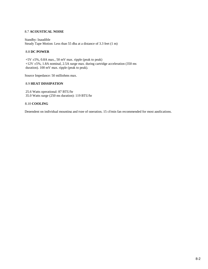### 8.7 **ACOUSTICAL NOISE**

Standby: Inaudible Steady Tape Motion: Less than 55 dba at a distance of 3.3 feet (1 m)

### 8.8 **DC POWER**

 +5V ±5%, 0.8A max., 50 mV max. ripple (peak to peak) +12V ±5%, 1.8A nominal, 2.5A surge max. during cartridge acceleration (350 ms duration). 100 mV max. ripple (peak to peak).

Source Impedance: 50 milliohms max.

### 8.9 **HEAT DISSIPATION**

25.6 Watts operational: 87 BTU/hr 35.0 Watts surge (250 ms duration): 119 BTU/hr

### 8.10 **COOLING**

Dependent on individual mounting and type of operation, 15 cf/min fan recommended for most applications.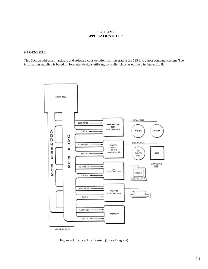### **SECTION 9 APPLICATION NOTES**

### 9.1 **GENERAL**

This Section addresses hardware and software considerations for integrating the 525 into a host computer system. The information supplied is based on formatter designs utilizing controller chips as outlined in Appendix B.



Figure 9-1. Typical Host System (Block Diagram)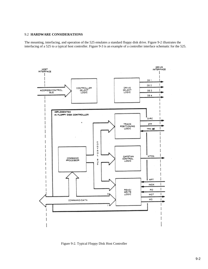# 9.2 **HARDWARE CONSIDERATIONS**

The mounting, interfacing, and operation of the 525 emulates a standard floppy disk drive. Figure 9-2 illustrates the interfacing of a 525 to a typical host controller. Figure 9-3 is an example of a controller interface schematic for the 525.



Figure 9-2. Typical Floppy Disk Host Controller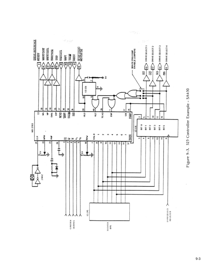

Figure 9-3. 525 Controller Example - SA450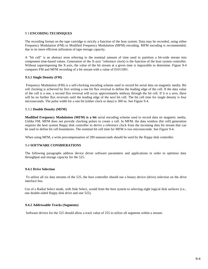#### 9 3 **ENCODING TECHNIQUES**

The recording format on the tape cartridge is strictly a function of the host system. Data may be recorded, using either Frequency Modulation (FM) or Modified Frequency Modulation (MFM) encoding. MFM encoding is recommended, due to its more efficient utilization of tape storage capacity.

A "bit cell" is an abstract term referring to the nominal amount of time used to partition a bit-wide stream into component time-based values. Generation of the X-axis "reference clock) is the function of the host system controller. Without superimposing the X-axis, the value of the bit stream at a given time is impossible to determine. Figure 9-4 compares FM and MFM recording of a bit stream with a value of 01011001.

### **9.3.1 Single Density (FM)**

 Frequency Modulation (FM) is a self-clocking encoding scheme used to record bit serial data on magnetic media. Bit cell clocking is achieved by first writing a one bit flux reversal to define the leading edge of the cell. If the data value of the cell is a one, a second flux reversal will occur approximately midway through the bit cell. If it is a zero, there will be no further flux reversals until the leading edge of the next bit cell. The bit cell time for single density is four microseconds. The pulse width for a one bit (either clock or data) is 300 ns. See Figure 9-4.

### 9.3.2 **Double Density (MFM)**

**Modified Frequency Modulation (MFM) is a bit** serial encoding scheme used to record data on magnetic media. Unlike FM, MFM does not provide clocking pulses to create a cell. In MFM, the data window (bit cell) generation requires the host system floppy disk controller to derive a reference clock from the incoming data bit stream that can be used to define bit cell boundaries. The nominal bit cell time for MFM is two microseconds. See Figure 9-4.

When using MFM, a write precompensation of 200 nanoseconds should be used by the floppy disk controller.

#### 9.4 **SOFTWARE CONSlDERATIONS**

The following paragraphs address device driver software parameters and applications in order to optimize data throughput and storage capacity for the 525.

#### **9.4.1 Drive Selection**

 To utilize all six data streams of the 525, the host controller should use a binary device (drive) selection on the drive interface bus.

Use of a Radial Select mode, with Side Select, would limit the host system to selecting eight logical disk surfaces (i.e., one double-sided floppy disk drive and one 525).

#### **9.4.2 Addressable Tracks (Segments)**

Software drivers for the 525 should allow a track value of 255 to utilize all segments within a stream.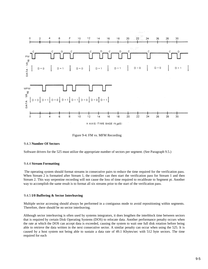

Figure 9-4. FM vs. MFM Recording

#### 9.4.3 **Number Of Sectors**

Software drivers for the 525 must utilize the appropriate number of sectors per segment. (See Paragraph 9.5.)

#### 9.4.4 **Stream Formatting**

 The operating system should format streams in consecutive pairs to reduce the time required for the verification pass. When Stream 2 is formatted after Stream 1, the controller can then start the verification pass for Stream 1 and then Stream 2. This way serpentine recording will not cause the loss of time required to recalibrate to Segment pt. Another way to accomplish the same result is to format all six streams prior to the start of the verification pass.

#### 9.4.5 **I/0 Buffering & Sector Interleaving**

Multiple sector accessing should always be performed in a contiguous mode to avoid repositioning within segments. Therefore, there should be no sector interleaving.

Although sector interleaving is often used by systems integrators, it does lengthen the interblock time between sectors that is required by certain Disk Operating Systems (DOS) to relocate data. Another performance penalty occurs when the rate at which the DOS can accept data is exceeded, causing the system to wait one full disk rotation before being able to retrieve the data written in the next consecutive sector. A similar penalty can occur when using the 525. It is caused by a host system not being able to sustain a data rate of 49.1 Kbytes/sec with 512 byte sectors. The time required for each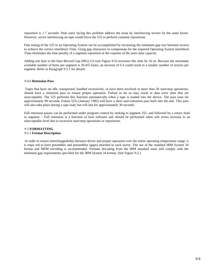reposition is 1.7 seconds. Disk users facing this problem address the issue by interleaving sectors by the same factor. However, sector interleaving on tape would force the 525 to perform constant repositions.

Fine tuning of the 525 to an Operating System can be accomplished by increasing the minimum gap size between sectors to achieve the correct interblock Time. Using gap characters to compensate for the required Operating System Interblock Time eliminates the time penalty of a segment reposition at the expense of the users data capacity.

Adding one byte to the Inter-Record Gap (IRG) G3 (see Figure 9-5) increases this time by 16 us. Because the maximum available number of bytes per segment is 20,455 bytes, an increase of G3 could result in a smaller number of sectors per segment. Refer to Paragraph 9.5.1 for details.

#### 9.4.6 **Retension Pass**

 Tapes that have set idle, transported, handled excessively, or have been involved in more than 50 start/stop operations, should have a retension pass to ensure proper operation. Failure to do so may result in data error rates that are unacceptable. The 525 performs this function automatically when a tape is loaded into the device. The pass lasts for approximately 90 seconds. Future 525s (January 1985) will have a short auto-retension pass built into the unit. This pass will also take place during a tape load, but will last for approximately 30 seconds.

Full retension passes can be performed under program control by seeking to segment 255. and followed by a return Seek to segment ~ Full retension is a function of host software and should be performed when soft errors increase to an unacceptable level due to excessive start/stop operations or repositions.

#### 9 5 **FORMATTING** 9.5.1 **Format Description**

 In order to ensure interchangeability between drives and proper operation over the entire operating temperature range, it is requi red to have preambles and postambles (gaps) attached to each sector. The use of the standard IBM System 34 format and MFM encoding is recommended. Formats deviating from the IBM standard must still comply with the minimum gap requirements specified for the IBM System 34 format. (See Figure 9-5.)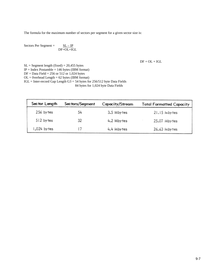The formula for the maximum number of sectors per segment for a given sector size is:

Sectors Per Segment =  $SL - IP$ DF+OL+IGL

 $DF + OL + IGL$ 

 $SL = Segment$  length (fixed) = 20,455 bytes  $IP = Index Postample = 146 bytes (IBM format)$ DF = Data Field = 256 or 512 or 1,024 bytes  $OL = Overhead Length = 62 bytes (IBM format)$ IGL = Inter-record Gap Length G3 = 54 bytes for 256/512 byte Data Fields 84 bytes for 1,024 byte Data Fields

| Sector Length | Sectors/Segment | Capacity/Stream | <b>Total Formatted Capacity</b> |
|---------------|-----------------|-----------------|---------------------------------|
| 256 by tes    | 54              | 3.5 Mbytes      | 21.15 Mbytes                    |
| 512 by tes    | 32              | 4.2 Mbytes      | 25.07 Mbytes                    |
| 1,024 bytes   |                 | 4.4 Mbytes      | 26.63 Mbytes                    |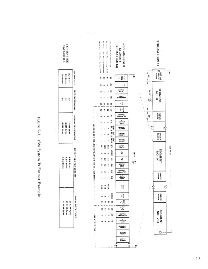Figure 9-5. IBM System 34 Format Example

| <b>FORMATTED</b><br>CAPACITIES                   |                              |
|--------------------------------------------------|------------------------------|
| 1034 84m<br>268711<br><b>PSS By Int</b>          | <b>SECTOR SIZE</b>           |
| ಸ                                                | SECTOR/SEGMENT               |
| uning beattle<br>un Ag b 92 91<br>HJ,408 Bytw    | USER BYTES/SEGMENT           |
| tayBytes<br>anyth MS.<br>3.5 M Bytes             | <b>DATA YIELD PER STREAM</b> |
| 21.15 M Byts<br>25.07 M Byts<br><b>HAG WE992</b> | <b>TOTAL DATA VIELD</b>      |



T

1111009

١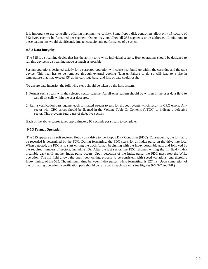It is important to use controllers offering maximum versatility. Some floppy disk controllers allow only 15 sectors of 512 bytes each to be formatted per segment. Others may not allow all 255 segments to be addressed. Limitations to these parameters would significantly impact capacity and performance of a system.

### 9.5.2 **Data Integrity**

 The 525 is a streaming device that has the ability to re-write individual sectors. Host operations should be designed to run this device in a streaming mode as much as possible.

System operations designed strictly for a start/stop operation will cause heat build up within the cartridge and the tape device. This heat has to be removed through external cooling (fan(s)). Failure to do so will lead to a rise in temperature that may exceed 45° at the cartridge base, and loss of data could result.

To ensure data integrity, the following steps should be taken by the host system:

- 1. Format each stream with the selected sector scheme. An all-ones pattern should be written in the user data field to test all bit cells within the user data area.
- 2. Run a verification pass against each formatted stream to test for dropout events which result in CRC errors. Any sector with CRC errors should be flagged in the Volume Table Of Contents (VTOC) to indicate a defective sector. This prevents future use of defective sectors.

Each of the above passes takes approximately 90 seconds per stream to complete.

#### 9.5.3 **Format Operation**

 The 525 appears as a soft sectored floppy disk drive to the Floppy Disk Controller (FDC). Consequently, the format to be recorded is determined by the FDC. During formatting, the FDC scans for an Index pulse on the drive interface. When detected, the FDC is to start writing the track format, beginning with the Index postamble gap, and followed by the required numbers of sectors, including IDs. After the last sector, the FDC resumes writing the fill field (Index preamble gap) until another Index pulse occurs. Upon detection of the Index pulse, the FDC must stop the Write operation. The fill field allows the open loop writing process to be consistent with speed variations, and therefore Index timing, of the 525. The minimum time between Index pulses, while formatting, is 327 ms. Upon completion of the formatting operation, a verification pass should be run against each stream. (See Figures 9-6, 9-7 and 9-8.)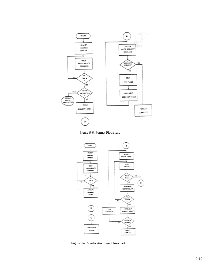





Figure 9-7. Verification Pass Flowchart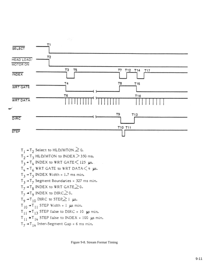

 $T_1$  +  $T_2$  Select to HLD/MTON  $\geq 0$ .  $T_2$  -  $T_3$  HLD/MTON to INDEX > 350 ms.  $T_3$  +  $T_4$  INDEX to WRT GATE  $\leq$  125 µs.  $T_{\mu}$  +  $T_{\mu}$  WRT GATE to WRT DATA $<$  4  $\mu$ s.  $T_3$  +  $T_5$  INDEX Width = 1.7 ms min.  $T_3$  +  $T_7$  Segment Boundaries = 327 ms min.  $T_7$  +  $T_8$  INDEX to WRT GATE  $\geq$  0.  $T_7$  +  $T_9$  INDEX to DIRC  $\geq$  0.  $T_9$  +  $T_{10}$  DIRC to STEP  $\geq$  1 us.  $T_{10}$  +  $T_{11}$  STEP Width = 1  $\mu$ s min.  $T_{11}$  +  $T_{13}$  STEP false to DIRC = 10  $\mu$ s min.  $T_{11}$  +  $T_{14}$  STEP false to INDEX = 100  $\mu$ s min.  $T_7$  +  $T_{14}$  Inter-Segment Gap = 6 ms min.

Figure 9-8. Stream Format Timing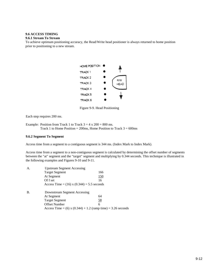# **9.6 ACCESS TIMING**

#### **9.6.1 Stream To Stream**

To achieve optimum positioning accuracy, the Read/Write head positioner is always returned to home position prior to positioning to a new stream.



Figure 9-9. Head Positioning

Each step requires 200 ms.

Example: Position from Track 1 to Track  $3 = 4 \times 200 = 800$  ms. Track 1 to Home Position =  $200$ ms, Home Position to Track  $3 = 600$ ms

### **9.6.2 Segment To Segment**

Access time from a segment to a contiguous segment is 344 ms. (Index Mark to Index Mark).

Access time from a segment to a non-contiguous segment is calculated by determining the offset number of segments between the "at" segment and the "target" segment and multiplying by 0.344 seconds. This technique is illustrated in the following examples and Figures 9-10 and 9-11.

| A.        | <b>Upstream Segment Accessing</b>              |                                                              |
|-----------|------------------------------------------------|--------------------------------------------------------------|
|           | <b>Target Segment</b>                          | 166                                                          |
|           | At Segment                                     | <u>150</u>                                                   |
|           | Of f set                                       | 16                                                           |
|           | Access Time = $(16)$ x $(0.344) = 5.5$ seconds |                                                              |
| <b>B.</b> | Downstream Segment Accessing                   |                                                              |
|           | At Segment                                     | 64                                                           |
|           | <b>Target Segment</b>                          | 58                                                           |
|           | <b>Offset Number</b>                           | 6                                                            |
|           |                                                | Access Time = (6) x (0.344) + 1.2 (ramp time) = 3.26 seconds |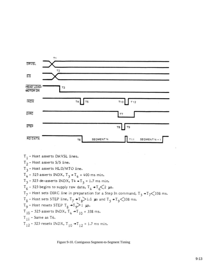

 $T_1$  - Host asserts DRVSL lines.  $T<sub>2</sub>$  - Host asserts S/S line.  $T_3$  - Host asserts HLD/MTO line.  $\texttt{T}_4$  - 525 asserts INDX,  $\texttt{T}_3 \bullet \texttt{T}_4$  = 400 ms min.  $T_5$  - 525 de-asserts INDX, T4 +  $T_5$  = 1.7 ms min.  $T_6$  - 525 begins to supply raw data,  $T_4 \rightarrow T_6 \diagup 2$  µs.  $T_7$  - Host sets DIRC line in preparation for a Step In command,  $T_5 + T_7 < 338$  ms.  $T_g$  - Host sets STEP line,  $T_7$  +  $T_8$  > 1.0 us and  $T_5$  +  $T_9$  < 338 ms.  $T_9$  - Host resets STEP  $T_8 \rightarrow T_9$  i µs.  $\texttt{T}_{10}$  – 525 asserts INDX,  $\texttt{T}_{4}$  +<br>T  $_{10}$  = 338 ms.  $T_{11}$  - Same as T6.  $T_{12}$  - 525 resets INDX,  $T_{10}$  +  $T_{12}$  = 1.7 ms min.

Figure 9-10. Contiguous Segment-to-Segment Timing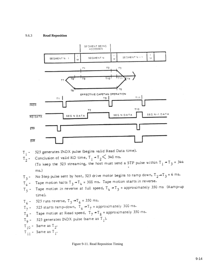### 9.6.3 **Read Reposition**



$$
T_1
$$
 - 525 generates INDX pulse (begins valid Read Data time).

Conclusion of valid RD time,  $T_1 - T_2 < 340$  ms.  $T_{2}$ .

(To keep the 525 streaming, the host must send a STP pulse within  $T_1 \div T_3 = 344$  $ms.)$ 

$$
T_3
$$
 - No Step pulse sent by host, 525 drive motor begins to ramp down,  $T_2 \rightarrow T_3$  = 6 ms.

 $T_4$  - Tape motion halts  $T_3 \rightarrow T_4 = 300$  ms. Tape motion starts in reverse.

Tape motion in reverse at full speed,  $T_4 + T_5$  = approximately 350 ms (Ramp-up  $T_5$  time).

$$
T_{c}
$$
 = 525 runs reverse,  $T_{c} \rightarrow T_{f}$  = 350 ms.

6  $T_7$  - 525 starts ramp-down,  $T_6$  -  $T_7$  = approximately 300 ms.

$$
T_{\text{g}}
$$
 - **T**ape motion at Read speed,  $T_{\text{g}}$  +  $T_{\text{g}}$  = approximately 350 ms.

$$
T_q
$$
 = 525 generates INDX pulse (same as  $T_1$ ).

```
T_{10} - Same as T_2.
```

```
T_{11} - Same as T_{1}.
```
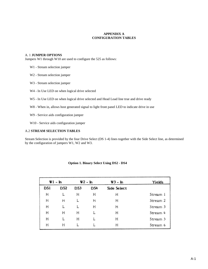### **APPENDIX A CONFIGURATION TABLES**

### A. 1 **JUMPER OPTIONS**

Jumpers W1 through W10 are used to configure the 525 as follows:

- W1 Stream selection jumper
- W2 Stream selection jumper
- W3 Stream selection jumper
- W4 In Use LED on when logical drive selected
- W5 In Use LED on when logical drive selected and Head Load line true and drive ready
- W8 When in, allows host generated signal to light front panel LED to indicate drive in use
- W9 Service aids configuration jumper
- W10 Service aids configuration jumper

### A.2 **STREAM SELECTION TABLES**

Stream Selection is provided by the four Drive Select (DS 1-4) lines together with the Side Select line, as determined by the configuration of jumpers W1, W2 and W3.

|     | $W1 - In$ |     | W2 - In | W3 – In     | Yields   |
|-----|-----------|-----|---------|-------------|----------|
| DS1 | DS2       | DS3 | DS4     | Side Select |          |
| Η   |           | н   | Η       | Н           | Stream 1 |
| Η   | н         | L   | н       | н           | Stream 2 |
| н   |           |     | Н       | Η           | Stream 3 |
| Н   | н         | н   |         | Н           | Stream 4 |
| Η   |           | н   |         | Н           | Stream 5 |
| н   | Н         |     |         | н           | Stream 6 |

### **Option 1. Binary Select Using DS2 - DS4**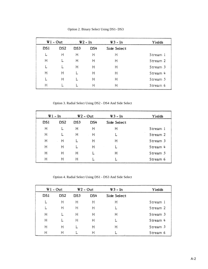|     | W l - Out<br>W2 - In |     |     | W3 - In     | Yields   |
|-----|----------------------|-----|-----|-------------|----------|
| DS1 | DS2                  | DS3 | DS4 | Side Select |          |
|     | н                    | Η   | Η   | н           | Stream 1 |
| н   |                      | н   | Η   | Η           | Stream 2 |
|     |                      | Η   | Η   | Η           | Stream 3 |
| н   | н                    |     | Η   | Н           | Stream 4 |
|     | н                    |     | Η   | Η           | Stream 5 |
| Η   |                      |     | Η   | Η           | Stream 6 |

Option 2. Binary Select Using DS1- DS3

Option 3. Radial Select Using DS2 - DS4 And Side Select

|     | W1 – In |             | $W2 - Out$ | W3 – In     | Yields   |
|-----|---------|-------------|------------|-------------|----------|
| DS1 | DS2     | DS3         | DS4        | Side Select |          |
| Η   | L       | н           | Н          | н           | Stream 1 |
| Η   | L       | Η           | Η          |             | Stream 2 |
| Η   | Η       | L           | Η          | н           | Stream 3 |
| Η   | Н       | L           | Η          | L           | Stream 4 |
| н   | н       | н           |            | н           | Stream 5 |
| Η   | Н       | н<br>$\sim$ |            | L           | Stream 6 |

Option 4. Radial Select Using DS1 - DS3 And Side Select

|     | $W1 - Out$ |     | $W2 - Out$ | $W3 - In$   | Yields   |
|-----|------------|-----|------------|-------------|----------|
| DS1 | DS2        | DS3 | DS4        | Side Select |          |
|     | Η          | Η   | н          | Η           | Stream 1 |
|     | н          | Н   | Η          | L           | Stream 2 |
| Η   |            | Н   | Н          | Η           | Stream 3 |
| Η   |            | Η   | Η          | L           | Stream 4 |
| Н   | Η          |     | Η          | Η           | Stream 5 |
| н   | н          | L   | н          |             | Stream 6 |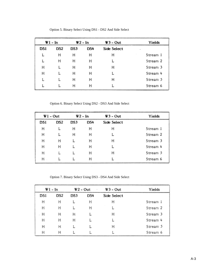|            | Wl – In         |     | <b>W2 - In</b> | $W3 - Out$  | Yields   |
|------------|-----------------|-----|----------------|-------------|----------|
| <b>DSI</b> | DS <sub>2</sub> | DS3 | DS4            | Side Select | ۰        |
| L          | Н               | н   | н              | Н           | Stream 1 |
|            | н               | н   | н              |             | Stream 2 |
| Η          |                 | н   | н              | н           | Stream 3 |
| Η          |                 | н   | н              |             | Stream 4 |
|            |                 | н   | Η              | н           | Stream 5 |
|            |                 | н   | н              |             | Stream 6 |

Option 5. Binary Select Using DS1 - DS2 And Side Select

Option 6. Binary Select Using DS2 - DS3 And Side Select

|     | $W1 - Out$ | W2 – In |     | W3 - Out    | Yields   |
|-----|------------|---------|-----|-------------|----------|
| DSI | DS2        | DS3     | DS4 | Side Select |          |
| н   |            | н       | н   | н           | Stream 1 |
| Η   |            | н       | Η   |             | Stream 2 |
| Η   | Η          |         | Η   | н           | Stream 3 |
| Н   | Н          |         | Η   | L           | Stream 4 |
| н   |            |         | Н   | Η           | Stream 5 |
| Η   |            |         | Η   |             | Stream 6 |

Option 7. Binary Select Using DS3 - DS4 And Side Select

|     | Wl – In | W2 - Out<br>٠ |     | $W3 - Out$  | Yields   |
|-----|---------|---------------|-----|-------------|----------|
| DS1 | DS2     | DS3           | DS4 | Side Select |          |
| н   | н       |               | н   | н           | Stream 1 |
| Н   | н       |               | Н   |             | Stream 2 |
| Н   | Н       | Н             | L   | Н           | Stream 3 |
| Η   | Н       | Η             | L   |             | Stream 4 |
| Η   | Η       |               | L   | Н           | Stream 5 |
| н   | н       |               |     |             | Stream 6 |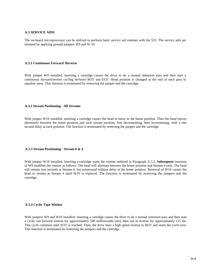#### **A.3 SERVICE AIDS**

The on-board microprocessor can be utilized to perform basic service aid routines with the 525. The service aids are initiated by applying ground jumpers W9 and W 10.

#### **A.3.1 Continuous Forward /Reverse**

With jumper W9 installed, inserting a cartridge causes the drive to do a normal retension pass and then start a continuous forward/reverse cycling between BOT and EOT. Head position is changed at the end of each pass to equalize wear. This function is terminated by removing the jumper and the cartridge.

#### **A.3.2 Stream Positioning - All Streams**

With jumper W10 installed, inserting a cartridge causes the head to move to the home position. Then the head moves alternately between the home position and each stream position, first decrementing, then incrementing, with a one second delay at each position. The function is terminated by removing the jumper and the cartridge.

#### **A.3.3 Stream Positioning - Stream 0 & 4**

With jumper W10 installed, inserting a cartridge starts the routine outlined in Paragraph A.3.2. **Subsequent** insertion of W9 modifies the routine as follows: The head will alternate between the home position and Stream 4 only. The head will remain two seconds at Stream 4, but turnaround without delay at the home position. Removal of W10 causes the head to remain at Stream 4 until W10 is replaced. The function is terminated by removing the jumpers and the cartridge.

#### **A.3.4 Cyclic Tape Motion**

With jumpers W9 and W10 installed, inserting a cartridge causes the drive to do a normal retension pass and then start a cyclic run forward motion for approximately 500 milliseconds (ms), then run in reverse for approximately 125 ms. This cycle continues until EOT is reached. Then, the drive does a high speed reverse to BOT and starts the cycle over. This function is terminated by removing the jumpers and the cartridge.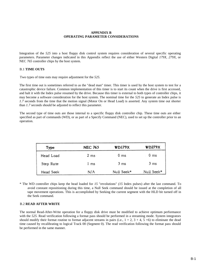### **APPENDIX B OPERATING PARAMETER CONSIDERATIONS**

Integration of the *525* into a host floppy disk control system requires consideration of several specific operating parameters. Parameter changes indicated in this Appendix reflect the use of either Western Digital *179X, 279X,* or NEC *765* controller chips by the host system.

### B.1 **TIME OUTS**

Two types of time outs may require adjustment for the *525.*

The first time out is sometimes referred to as the "dead man" timer. This timer is used by the host system to test for a catastrophic device failure. Common implementation of this timer is to start its count when the drive is first accessed, and halt it with the Index pulse resumed by the drive. Because this timer is external to both types of controller chips, it may become a software consideration for the host system. The nominal time for the *525* to generate an Index pulse is *1.7* seconds from the time that the motion signal (Motor On or Head Load) is asserted. Any system time out shorter than *1.7* seconds should be adjusted to reflect this parameter.

The second type of time outs are those internal to a specific floppy disk controller chip. These time outs are either specified as part of commands (WD), or as part of a Specify Command (NEC), used to set up the controller prior to an operation.

| Type      | <b>NEC 765</b> | <b>WD179X</b> | <b>WD279X</b> |
|-----------|----------------|---------------|---------------|
| Head Load | $2 \text{ ms}$ | 0 ms          | 0 ms          |
| Step Rate | 1 ms           | 3 ms          | 3 ms          |
| Head Seek | N/A            | Null Seek*    | Null Seek*    |

\* The WD controller chips keep the head loaded for *15* "revolutions" *(15* Index pulses) after the last command. To avoid constant repositioning during this time, a Null Seek command should be issued at the completion of all tape movement operations. This is accomplished by Seeking the current segment with the HLD bit turned off in the Seek command.

#### B.2 **READ AFTER WRITE**

The normal Read-After-Write operation for a floppy disk drive must be modified to achieve optimum performance with the 525. Read verification following a format pass should be performed in a streaming mode. System integrators should modify their format routine to format adjacent streams in pairs (i.e.,  $1 + 2$ ,  $3 + 4$ ,  $5 + 6$ ) to eliminate the dead time caused by recalibrating to logical Track 00 (Segment 0). The read verification following the format pass should be performed in the same manner.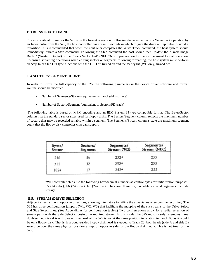#### B.3 **REINSTRUCT TIMlNG**

The most critical timing for the 525 is in the format operation. Following the termination of a Write track operation by an Index pulse from the 525, the host controller has six milliseconds in which to give the drive a Step pulse to avoid a reposition. It is recommended that when the controller completes the Write Track command, the host system should immediately initiate a Step command. Following the Step command the host should then up-date the "Track Image Buffer" (Western Digital) or the "Track Sector List" (NEC 765) in preparation for the next segment format operation. To ensure streaming operations when editing sectors or segments following formatting, the host system must perform all Step In or Step Out type functions with the HLD bit turned on and the Verify bit (WD only) turned off.

### B.4 **SECTORS/SEGMENT COUNTS**

In order to utilize the full capacity of the 525, the following parameters in the device driver software and format routine should be modified:

- Number of Segments/Stream (equivalent to Tracks/FD surface)
- Number of Sectors/Segment (equivalent to Sectors/FD track)

 The following table is based on MFM encoding and an IBM System 34 type compatible format. The Bytes/Sector column lists the standard sector sizes used for floppy disks. The Sectors/Segment column reflects the maximum number of sectors that may be recorded reliably within a segment. The Segments/Stream columns state the maximum segment count that the floppy disk controller chip can support.

| Bytes/<br>Sector | Sectors/<br><b>Segment</b> | Segments/<br>Stream (WD) | Segments/<br>Stream (NEC) |
|------------------|----------------------------|--------------------------|---------------------------|
| 256              | 54                         | $252*$                   | 255                       |
| 512              | 32                         | $252*$                   | 255                       |
| 1024             |                            | $252*$                   | 255                       |

\*WD controller chips use the following hexadecimal numbers as control bytes for initialization purposes: F5 (245 dec), F6 (246 dec), F7 (247 dec). They are, therefore, unusable as valid segments for data storage.

### **B.5. STREAM (DRIVE) SELECllON**

Adjacent streams run in opposite directions, allowing integrators to utilize the advantages of serpentine recording. The 525 has three configuration jumpers (W1, W2, W3) that facilitate the mapping of the six streams to the Drive Select and Side Select lines. (See Appendix A for configuration tables.) Two configurations allow for a radial selection of stream pairs with the Side Select choosing the required stream. In this mode, the 525 most closely resembles three double-sided disk drives. However, the head of the 525 is not at the same position in relation to Track 00 as it would be on a floppy disk. That is, if a double-sided f!cppy disk head is stepped to Track 23, both heads (side A and side B) would be over the same physical position except on opposite sides of the floppy disk media. This is not true for the 525.